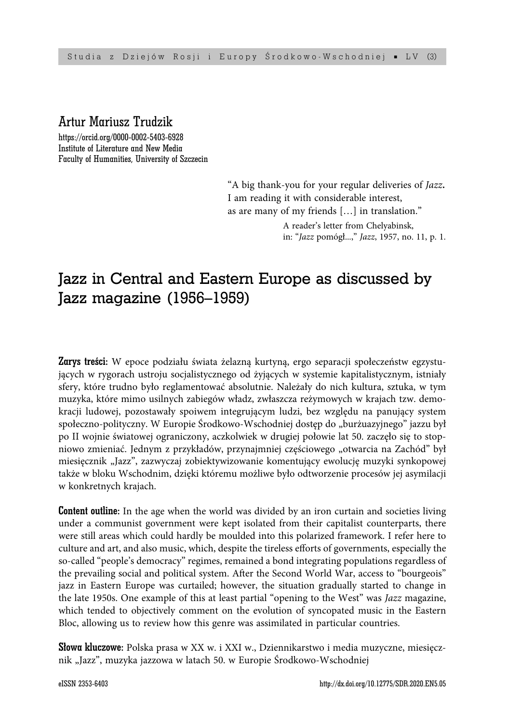# Artur Mariusz Trudzik

https://orcid.org/0000-0002-5403-6928 Institute of Literature and New Media Faculty of Humanities, University of Szczecin

> "A big thank-you for your regular deliveries of *Jazz***.** I am reading it with considerable interest, as are many of my friends […] in translation."

> > A reader's letter from Chelyabinsk, in: "*Jazz* pomógł...," *Jazz*, 1957, no. 11, p. 1.

# Jazz in Central and Eastern Europe as discussed by Jazz magazine (1956–1959)

Zarys treści: W epoce podziału świata żelazną kurtyną, ergo separacji społeczeństw egzystujących w rygorach ustroju socjalistycznego od żyjących w systemie kapitalistycznym, istniały sfery, które trudno było reglamentować absolutnie. Należały do nich kultura, sztuka, w tym muzyka, które mimo usilnych zabiegów władz, zwłaszcza reżymowych w krajach tzw. demokracji ludowej, pozostawały spoiwem integrującym ludzi, bez względu na panujący system społeczno-polityczny. W Europie Środkowo-Wschodniej dostęp do "burżuazyjnego" jazzu był po II wojnie światowej ograniczony, aczkolwiek w drugiej połowie lat 50. zaczęło się to stopniowo zmieniać. Jednym z przykładów, przynajmniej częściowego "otwarcia na Zachód" był miesięcznik "Jazz", zazwyczaj zobiektywizowanie komentujący ewolucję muzyki synkopowej także w bloku Wschodnim, dzięki któremu możliwe było odtworzenie procesów jej asymilacji w konkretnych krajach.

**Content outline:** In the age when the world was divided by an iron curtain and societies living under a communist government were kept isolated from their capitalist counterparts, there were still areas which could hardly be moulded into this polarized framework. I refer here to culture and art, and also music, which, despite the tireless efforts of governments, especially the so-called "people's democracy" regimes, remained a bond integrating populations regardless of the prevailing social and political system. After the Second World War, access to "bourgeois" jazz in Eastern Europe was curtailed; however, the situation gradually started to change in the late 1950s. One example of this at least partial "opening to the West" was *Jazz* magazine, which tended to objectively comment on the evolution of syncopated music in the Eastern Bloc, allowing us to review how this genre was assimilated in particular countries.

Słowa kluczowe: Polska prasa w XX w. i XXI w., Dziennikarstwo i media muzyczne, miesięcznik "Jazz", muzyka jazzowa w latach 50. w Europie Środkowo-Wschodniej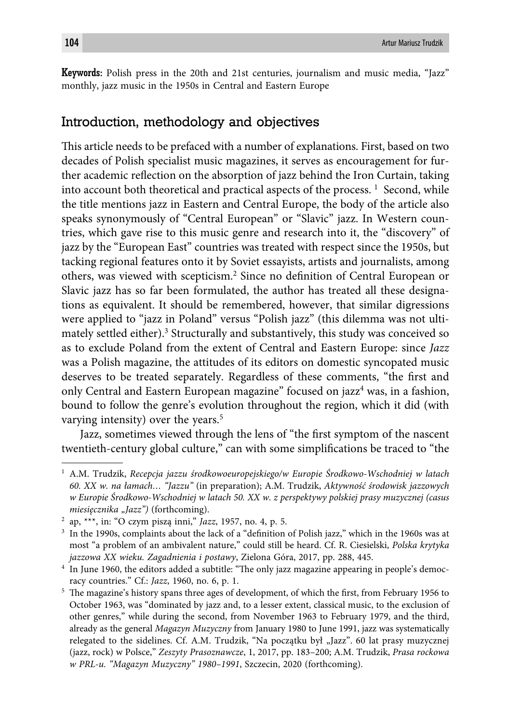Keywords: Polish press in the 20th and 21st centuries, journalism and music media, "Jazz" monthly, jazz music in the 1950s in Central and Eastern Europe

# Introduction, methodology and objectives

This article needs to be prefaced with a number of explanations. First, based on two decades of Polish specialist music magazines, it serves as encouragement for further academic reflection on the absorption of jazz behind the Iron Curtain, taking into account both theoretical and practical aspects of the process.  $^1$  Second, while the title mentions jazz in Eastern and Central Europe, the body of the article also speaks synonymously of "Central European" or "Slavic" jazz. In Western countries, which gave rise to this music genre and research into it, the "discovery" of jazz by the "European East" countries was treated with respect since the 1950s, but tacking regional features onto it by Soviet essayists, artists and journalists, among others, was viewed with scepticism.<sup>2</sup> Since no definition of Central European or Slavic jazz has so far been formulated, the author has treated all these designations as equivalent. It should be remembered, however, that similar digressions were applied to "jazz in Poland" versus "Polish jazz" (this dilemma was not ultimately settled either).<sup>3</sup> Structurally and substantively, this study was conceived so as to exclude Poland from the extent of Central and Eastern Europe: since *Jazz* was a Polish magazine, the attitudes of its editors on domestic syncopated music deserves to be treated separately. Regardless of these comments, "the first and only Central and Eastern European magazine" focused on jazz<sup>4</sup> was, in a fashion, bound to follow the genre's evolution throughout the region, which it did (with varying intensity) over the years.<sup>5</sup>

Jazz, sometimes viewed through the lens of "the first symptom of the nascent twentieth-century global culture," can with some simplifications be traced to "the

<sup>1</sup> A.M. Trudzik, *Recepcja jazzu środkowoeuropejskiego/w Europie Środkowo-Wschodniej w latach 60. XX w. na łamach… "Jazzu"* (in preparation); A.M. Trudzik, *Aktywność środowisk jazzowych w Europie Środkowo-Wschodniej w latach 50. XX w. z perspektywy polskiej prasy muzycznej (casus miesięcznika "Jazz")* (forthcoming).

<sup>2</sup> ap, \*\*\*, in: "O czym piszą inni," *Jazz*, 1957, no. 4, p. 5.

<sup>&</sup>lt;sup>3</sup> In the 1990s, complaints about the lack of a "definition of Polish jazz," which in the 1960s was at most "a problem of an ambivalent nature," could still be heard. Cf. R. Ciesielski, *Polska krytyka jazzowa XX wieku. Zagadnienia i postawy*, Zielona Góra, 2017, pp. 288, 445.

<sup>&</sup>lt;sup>4</sup> In June 1960, the editors added a subtitle: "The only jazz magazine appearing in people's democracy countries." Cf.: *Jazz*, 1960, no. 6, p. 1.

<sup>&</sup>lt;sup>5</sup> The magazine's history spans three ages of development, of which the first, from February 1956 to October 1963, was "dominated by jazz and, to a lesser extent, classical music, to the exclusion of other genres," while during the second, from November 1963 to February 1979, and the third, already as the general *Magazyn Muzyczny* from January 1980 to June 1991, jazz was systematically relegated to the sidelines. Cf. A.M. Trudzik, "Na początku był "Jazz". 60 lat prasy muzycznej (jazz, rock) w Polsce," *Zeszyty Prasoznawcze*, 1, 2017, pp. 183–200; A.M. Trudzik, *Prasa rockowa w PRL-u. "Magazyn Muzyczny" 1980–1991*, Szczecin, 2020 (forthcoming).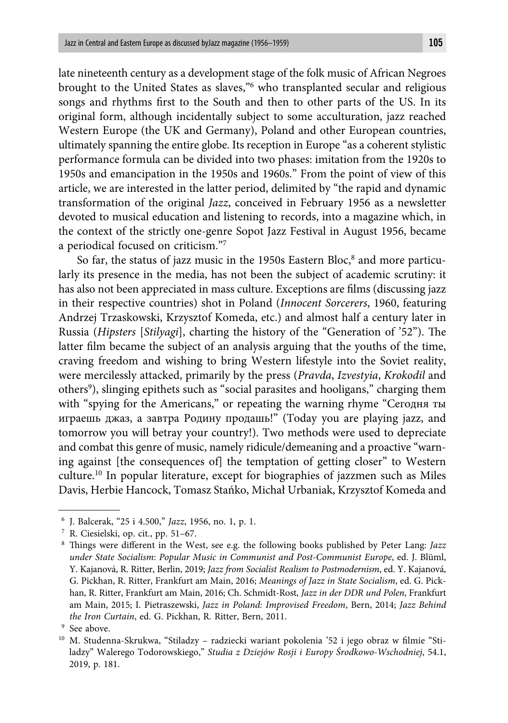late nineteenth century as a development stage of the folk music of African Negroes brought to the United States as slaves,"6 who transplanted secular and religious songs and rhythms first to the South and then to other parts of the US. In its original form, although incidentally subject to some acculturation, jazz reached Western Europe (the UK and Germany), Poland and other European countries, ultimately spanning the entire globe. Its reception in Europe "as a coherent stylistic performance formula can be divided into two phases: imitation from the 1920s to 1950s and emancipation in the 1950s and 1960s." From the point of view of this article, we are interested in the latter period, delimited by "the rapid and dynamic transformation of the original *Jazz*, conceived in February 1956 as a newsletter devoted to musical education and listening to records, into a magazine which, in the context of the strictly one-genre Sopot Jazz Festival in August 1956, became a periodical focused on criticism."7

So far, the status of jazz music in the 1950s Eastern Bloc,<sup>8</sup> and more particularly its presence in the media, has not been the subject of academic scrutiny: it has also not been appreciated in mass culture. Exceptions are films (discussing jazz in their respective countries) shot in Poland (*Innocent Sorcerers*, 1960, featuring Andrzej Trzaskowski, Krzysztof Komeda, etc.) and almost half a century later in Russia (*Hipsters* [*Stilyagi*], charting the history of the "Generation of '52"). The latter film became the subject of an analysis arguing that the youths of the time, craving freedom and wishing to bring Western lifestyle into the Soviet reality, were mercilessly attacked, primarily by the press (*Pravda*, *Izvestyia*, *Krokodil* and others<sup>9</sup>), slinging epithets such as "social parasites and hooligans," charging them with "spying for the Americans," or repeating the warning rhyme "Сегодня ты игрaешь джаз, а завтра Родину продашь!" (Today you are playing jazz, and tomorrow you will betray your country!). Two methods were used to depreciate and combat this genre of music, namely ridicule/demeaning and a proactive "warning against [the consequences of] the temptation of getting closer" to Western culture.10 In popular literature, except for biographies of jazzmen such as Miles Davis, Herbie Hancock, Tomasz Stańko, Michał Urbaniak, Krzysztof Komeda and

<sup>6</sup> J. Balcerak, "25 i 4.500," *Jazz*, 1956, no. 1, p. 1.

<sup>7</sup> R. Ciesielski, op. cit., pp. 51–67.

<sup>&</sup>lt;sup>8</sup> Things were different in the West, see e.g. the following books published by Peter Lang: *Jazz under State Socialism*: *Popular Music in Communist and Post-Communist Europe*, ed. J. Blüml, Y. Kajanová, R. Ritter, Berlin, 2019; *Jazz from Socialist Realism to Postmodernism*, ed. Y. Kajanová, G. Pickhan, R. Ritter, Frankfurt am Main, 2016; *Meanings of Jazz in State Socialism*, ed. G. Pickhan, R. Ritter, Frankfurt am Main, 2016; Ch. Schmidt-Rost, *Jazz in der DDR und Polen*, Frankfurt am Main, 2015; I. Pietraszewski, *Jazz in Poland: Improvised Freedom*, Bern, 2014; *Jazz Behind the Iron Curtain*, ed. G. Pickhan, R. Ritter, Bern, 2011.

<sup>9</sup> See above.

<sup>&</sup>lt;sup>10</sup> M. Studenna-Skrukwa, "Stiladzy - radziecki wariant pokolenia '52 i jego obraz w filmie "Stiladzy" Walerego Todorowskiego," *Studia z Dziejów Rosji i Europy Środkowo-Wschodniej*, 54.1, 2019, p. 181.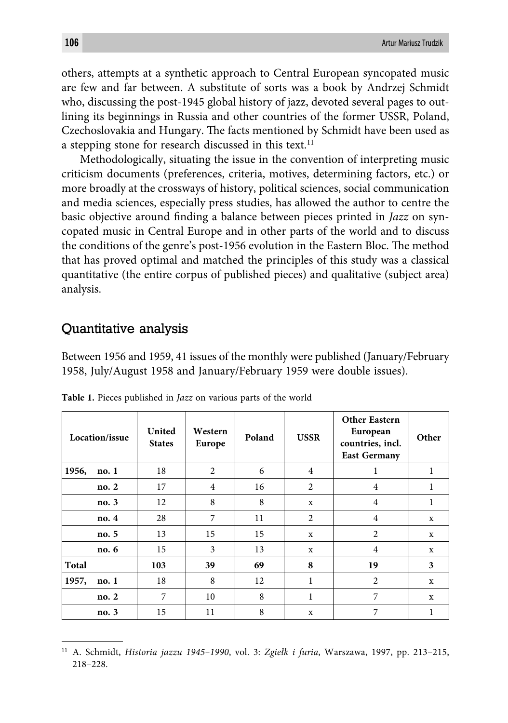others, attempts at a synthetic approach to Central European syncopated music are few and far between. A substitute of sorts was a book by Andrzej Schmidt who, discussing the post-1945 global history of jazz, devoted several pages to outlining its beginnings in Russia and other countries of the former USSR, Poland, Czechoslovakia and Hungary. The facts mentioned by Schmidt have been used as a stepping stone for research discussed in this text.<sup>11</sup>

Methodologically, situating the issue in the convention of interpreting music criticism documents (preferences, criteria, motives, determining factors, etc.) or more broadly at the crossways of history, political sciences, social communication and media sciences, especially press studies, has allowed the author to centre the basic objective around finding a balance between pieces printed in *Jazz* on syncopated music in Central Europe and in other parts of the world and to discuss the conditions of the genre's post-1956 evolution in the Eastern Bloc. The method that has proved optimal and matched the principles of this study was a classical quantitative (the entire corpus of published pieces) and qualitative (subject area) analysis.

### Quantitative analysis

Between 1956 and 1959, 41 issues of the monthly were published (January/February 1958, July/August 1958 and January/February 1959 were double issues).

| Location/issue |       | United<br><b>States</b> | Western<br>Europe | Poland | <b>USSR</b>    | <b>Other Eastern</b><br>European<br>countries, incl.<br><b>East Germany</b> | Other       |
|----------------|-------|-------------------------|-------------------|--------|----------------|-----------------------------------------------------------------------------|-------------|
| 1956,          | no.1  | 18                      | 2                 | 6      | $\overline{4}$ | 1                                                                           | 1           |
|                | no. 2 | 17                      | $\overline{4}$    | 16     | 2              | $\overline{4}$                                                              | 1           |
|                | no. 3 | 12                      | 8                 | 8      | X              | $\overline{4}$                                                              | 1           |
|                | no. 4 | 28                      | 7                 | 11     | 2              | $\overline{4}$                                                              | X           |
|                | no. 5 | 13                      | 15                | 15     | X              | 2                                                                           | X           |
|                | no. 6 | 15                      | 3                 | 13     | X              | 4                                                                           | $\mathbf x$ |
| <b>Total</b>   |       | 103                     | 39                | 69     | 8              | 19                                                                          | 3           |
| 1957,          | no. 1 | 18                      | 8                 | 12     | 1              | $\overline{2}$                                                              | X           |
|                | no. 2 | 7                       | 10                | 8      | $\mathbf{1}$   | 7                                                                           | X           |
|                | no. 3 | 15                      | 11                | 8      | X              | 7                                                                           | 1           |

**Table 1.** Pieces published in *Jazz* on various parts of the world

<sup>11</sup> A. Schmidt, *Historia jazzu 1945–1990*, vol. 3: *Zgiełk i furia*, Warszawa, 1997, pp. 213–215, 218–228.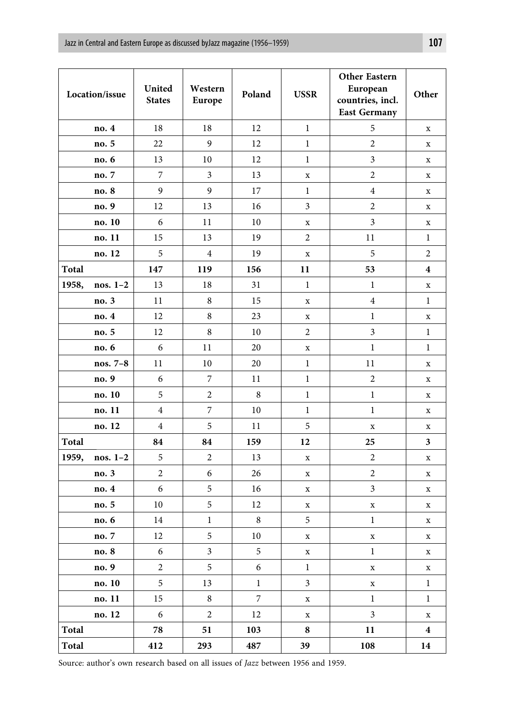| Location/issue |            | United<br><b>States</b> | Western<br>Europe | Poland           | <b>USSR</b>    | Other Eastern<br>European<br>countries, incl.<br><b>East Germany</b> | Other                   |
|----------------|------------|-------------------------|-------------------|------------------|----------------|----------------------------------------------------------------------|-------------------------|
|                | no. 4      | 18                      | 18                | 12               | $\mathbf{1}$   | 5                                                                    | $\mathbf X$             |
|                | no. 5      | 22                      | 9                 | 12               | $\mathbf{1}$   | $\overline{2}$                                                       | $\mathbf x$             |
|                | no. 6      | 13                      | 10                | 12               | $\mathbf{1}$   | 3                                                                    | $\mathbf x$             |
|                | no. 7      | 7                       | 3                 | 13               | X              | $\boldsymbol{2}$                                                     | $\mathbf x$             |
|                | no. 8      | 9                       | 9                 | 17               | $\mathbf 1$    | 4                                                                    | $\mathbf X$             |
|                | no. 9      | 12                      | 13                | 16               | 3              | $\overline{c}$                                                       | $\mathbf X$             |
|                | no. 10     | 6                       | 11                | 10               | X              | 3                                                                    | $\mathbf x$             |
|                | no. 11     | 15                      | 13                | 19               | $\overline{c}$ | 11                                                                   | $\mathbf{1}$            |
|                | no. 12     | 5                       | $\overline{4}$    | 19               | x              | 5                                                                    | $\overline{2}$          |
| <b>Total</b>   |            | 147                     | 119               | 156              | 11             | 53                                                                   | $\overline{\mathbf{4}}$ |
| 1958,          | nos. $1-2$ | 13                      | 18                | 31               | $\mathbf{1}$   | $\mathbf{1}$                                                         | $\mathbf x$             |
|                | no. 3      | 11                      | 8                 | 15               | X              | $\overline{4}$                                                       | $\mathbf{1}$            |
|                | no. 4      | 12                      | 8                 | 23               | $\mathbf x$    | $\mathbf{1}$                                                         | $\mathbf x$             |
|                | no. 5      | 12                      | 8                 | 10               | $\overline{c}$ | $\mathfrak z$                                                        | $\mathbf{1}$            |
|                | no. 6      | 6                       | 11                | 20               | x              | $\mathbf{1}$                                                         | $\mathbf{1}$            |
|                | nos. $7-8$ | 11                      | 10                | 20               | $\mathbf 1$    | 11                                                                   | $\mathbf x$             |
|                | no. 9      | 6                       | 7                 | 11               | $\mathbf{1}$   | $\overline{c}$                                                       | $\mathbf x$             |
|                | no. 10     | 5                       | $\overline{c}$    | 8                | $\mathbf{1}$   | $\mathbf{1}$                                                         | $\mathbf x$             |
|                | no. 11     | $\overline{4}$          | 7                 | 10               | $\mathbf{1}$   | $\mathbf{1}$                                                         | $\mathbf x$             |
|                | no. 12     | $\overline{4}$          | 5                 | 11               | 5              | $\mathbf x$                                                          | $\mathbf x$             |
| Total          |            | 84                      | 84                | 159              | 12             | 25                                                                   | 3                       |
| 1959,          | nos. $1-2$ | 5                       | $\overline{c}$    | 13               | $\mathbf x$    | $\boldsymbol{2}$                                                     | $\mathbf x$             |
|                | no. 3      | $\overline{2}$          | 6                 | 26               | X              | $\overline{2}$                                                       | $\mathbf x$             |
|                | no. 4      | 6                       | 5                 | 16               | x              | 3                                                                    | $\mathbf x$             |
|                | no. 5      | 10                      | 5                 | 12               | $\mathbf x$    | $\mathbf x$                                                          | $\mathbf x$             |
|                | no. 6      | 14                      | 1                 | 8                | 5              | $\mathbf 1$                                                          | $\mathbf X$             |
|                | no. 7      | 12                      | 5                 | 10               | $\mathbf x$    | $\mathbf x$                                                          | $\mathbf x$             |
|                | no. 8      | 6                       | 3                 | 5                | x              | 1                                                                    | $\mathbf X$             |
|                | no. 9      | $\sqrt{2}$              | $\sqrt{5}$        | 6                | $\,1$          | $\mathbf X$                                                          | $\mathbf X$             |
|                | no. 10     | 5                       | 13                | $\mathbf{1}$     | $\mathfrak{Z}$ | $\mathbf X$                                                          | $\mathbf{1}$            |
|                | no. 11     | 15                      | $\,8\,$           | $\boldsymbol{7}$ | X              | $\mathbf{1}$                                                         | $\mathbf{1}$            |
|                | no. 12     | $\boldsymbol{6}$        | $\overline{c}$    | 12               | $\mathbf x$    | $\overline{3}$                                                       | $\mathbf x$             |
| Total          |            | 78                      | 51                | 103              | 8              | 11                                                                   | $\overline{\mathbf{4}}$ |
| Total          |            | 412                     | 293               | 487              | 39             | 108                                                                  | 14                      |

Source: author's own research based on all issues of *Jazz* between 1956 and 1959.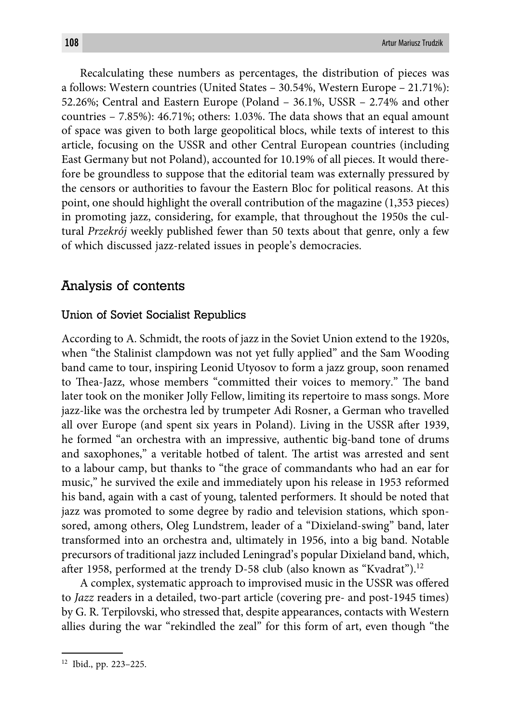Recalculating these numbers as percentages, the distribution of pieces was a follows: Western countries (United States – 30.54%, Western Europe – 21.71%): 52.26%; Central and Eastern Europe (Poland – 36.1%, USSR – 2.74% and other countries  $-7.85\%$ : 46.71%; others: 1.03%. The data shows that an equal amount of space was given to both large geopolitical blocs, while texts of interest to this article, focusing on the USSR and other Central European countries (including East Germany but not Poland), accounted for 10.19% of all pieces. It would therefore be groundless to suppose that the editorial team was externally pressured by the censors or authorities to favour the Eastern Bloc for political reasons. At this point, one should highlight the overall contribution of the magazine (1,353 pieces) in promoting jazz, considering, for example, that throughout the 1950s the cultural *Przekrój* weekly published fewer than 50 texts about that genre, only a few of which discussed jazz-related issues in people's democracies.

## Analysis of contents

#### Union of Soviet Socialist Republics

According to A. Schmidt, the roots of jazz in the Soviet Union extend to the 1920s, when "the Stalinist clampdown was not yet fully applied" and the Sam Wooding band came to tour, inspiring Leonid Utyosov to form a jazz group, soon renamed to Thea-Jazz, whose members "committed their voices to memory." The band later took on the moniker Jolly Fellow, limiting its repertoire to mass songs. More jazz-like was the orchestra led by trumpeter Adi Rosner, a German who travelled all over Europe (and spent six years in Poland). Living in the USSR after 1939, he formed "an orchestra with an impressive, authentic big-band tone of drums and saxophones," a veritable hotbed of talent. The artist was arrested and sent to a labour camp, but thanks to "the grace of commandants who had an ear for music," he survived the exile and immediately upon his release in 1953 reformed his band, again with a cast of young, talented performers. It should be noted that jazz was promoted to some degree by radio and television stations, which sponsored, among others, Oleg Lundstrem, leader of a "Dixieland-swing" band, later transformed into an orchestra and, ultimately in 1956, into a big band. Notable precursors of traditional jazz included Leningrad's popular Dixieland band, which, after 1958, performed at the trendy D-58 club (also known as "Kvadrat").<sup>12</sup>

A complex, systematic approach to improvised music in the USSR was offered to *Jazz* readers in a detailed, two-part article (covering pre- and post-1945 times) by G. R. Terpilovski, who stressed that, despite appearances, contacts with Western allies during the war "rekindled the zeal" for this form of art, even though "the

<sup>12</sup> Ibid., pp. 223–225.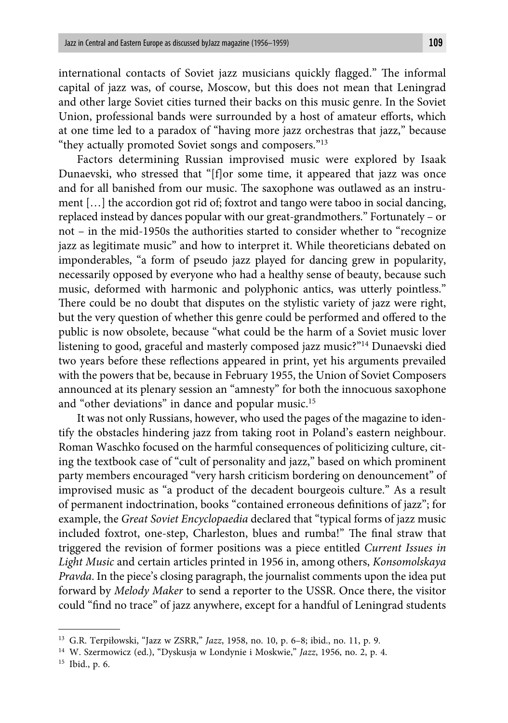international contacts of Soviet jazz musicians quickly flagged." The informal capital of jazz was, of course, Moscow, but this does not mean that Leningrad and other large Soviet cities turned their backs on this music genre. In the Soviet Union, professional bands were surrounded by a host of amateur efforts, which at one time led to a paradox of "having more jazz orchestras that jazz," because "they actually promoted Soviet songs and composers."13

Factors determining Russian improvised music were explored by Isaak Dunaevski, who stressed that "[f]or some time, it appeared that jazz was once and for all banished from our music. The saxophone was outlawed as an instrument […] the accordion got rid of; foxtrot and tango were taboo in social dancing, replaced instead by dances popular with our great-grandmothers." Fortunately – or not – in the mid-1950s the authorities started to consider whether to "recognize jazz as legitimate music" and how to interpret it. While theoreticians debated on imponderables, "a form of pseudo jazz played for dancing grew in popularity, necessarily opposed by everyone who had a healthy sense of beauty, because such music, deformed with harmonic and polyphonic antics, was utterly pointless." There could be no doubt that disputes on the stylistic variety of jazz were right, but the very question of whether this genre could be performed and offered to the public is now obsolete, because "what could be the harm of a Soviet music lover listening to good, graceful and masterly composed jazz music?"14 Dunaevski died two years before these reflections appeared in print, yet his arguments prevailed with the powers that be, because in February 1955, the Union of Soviet Composers announced at its plenary session an "amnesty" for both the innocuous saxophone and "other deviations" in dance and popular music.15

It was not only Russians, however, who used the pages of the magazine to identify the obstacles hindering jazz from taking root in Poland's eastern neighbour. Roman Waschko focused on the harmful consequences of politicizing culture, citing the textbook case of "cult of personality and jazz," based on which prominent party members encouraged "very harsh criticism bordering on denouncement" of improvised music as "a product of the decadent bourgeois culture." As a result of permanent indoctrination, books "contained erroneous definitions of jazz"; for example, the *Great Soviet Encyclopaedia* declared that "typical forms of jazz music included foxtrot, one-step, Charleston, blues and rumba!" The final straw that triggered the revision of former positions was a piece entitled *Current Issues in Light Music* and certain articles printed in 1956 in, among others, *Konsomolskaya Pravda*. In the piece's closing paragraph, the journalist comments upon the idea put forward by *Melody Maker* to send a reporter to the USSR. Once there, the visitor could "find no trace" of jazz anywhere, except for a handful of Leningrad students

<sup>13</sup> G.R. Terpiłowski, "Jazz w ZSRR," *Jazz*, 1958, no. 10, p. 6–8; ibid., no. 11, p. 9.

<sup>14</sup> W. Szermowicz (ed.), "Dyskusja w Londynie i Moskwie," *Jazz*, 1956, no. 2, p. 4.

<sup>15</sup> Ibid., p. 6.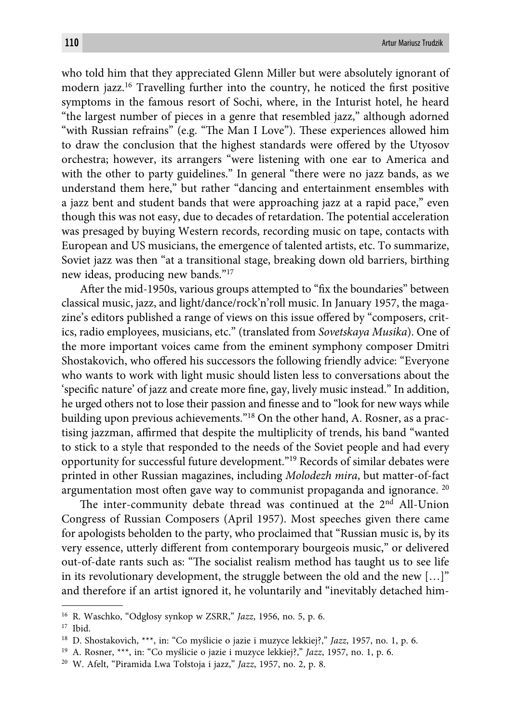who told him that they appreciated Glenn Miller but were absolutely ignorant of modern jazz.<sup>16</sup> Travelling further into the country, he noticed the first positive symptoms in the famous resort of Sochi, where, in the Inturist hotel, he heard "the largest number of pieces in a genre that resembled jazz," although adorned "with Russian refrains" (e.g. "The Man I Love"). These experiences allowed him to draw the conclusion that the highest standards were offered by the Utyosov orchestra; however, its arrangers "were listening with one ear to America and with the other to party guidelines." In general "there were no jazz bands, as we understand them here," but rather "dancing and entertainment ensembles with a jazz bent and student bands that were approaching jazz at a rapid pace," even though this was not easy, due to decades of retardation. The potential acceleration was presaged by buying Western records, recording music on tape, contacts with European and US musicians, the emergence of talented artists, etc. To summarize, Soviet jazz was then "at a transitional stage, breaking down old barriers, birthing new ideas, producing new bands."17

After the mid-1950s, various groups attempted to "fix the boundaries" between classical music, jazz, and light/dance/rock'n'roll music. In January 1957, the magazine's editors published a range of views on this issue offered by "composers, critics, radio employees, musicians, etc." (translated from *Sovetskaya Musika*). One of the more important voices came from the eminent symphony composer Dmitri Shostakovich, who offered his successors the following friendly advice: "Everyone who wants to work with light music should listen less to conversations about the 'specific nature' of jazz and create more fine, gay, lively music instead." In addition, he urged others not to lose their passion and finesse and to "look for new ways while building upon previous achievements."18 On the other hand, A. Rosner, as a practising jazzman, affirmed that despite the multiplicity of trends, his band "wanted to stick to a style that responded to the needs of the Soviet people and had every opportunity for successful future development."19 Records of similar debates were printed in other Russian magazines, including *Molodezh mira*, but matter-of-fact argumentation most often gave way to communist propaganda and ignorance.  $^{20}$ 

The inter-community debate thread was continued at the  $2<sup>nd</sup>$  All-Union Congress of Russian Composers (April 1957). Most speeches given there came for apologists beholden to the party, who proclaimed that "Russian music is, by its very essence, utterly different from contemporary bourgeois music," or delivered out-of-date rants such as: "The socialist realism method has taught us to see life in its revolutionary development, the struggle between the old and the new […]" and therefore if an artist ignored it, he voluntarily and "inevitably detached him-

<sup>16</sup> R. Waschko, "Odgłosy synkop w ZSRR," *Jazz*, 1956, no. 5, p. 6.

<sup>17</sup> Ibid.

<sup>18</sup> D. Shostakovich, \*\*\*, in: "Co myślicie o jazie i muzyce lekkiej?," *Jazz*, 1957, no. 1, p. 6.

<sup>19</sup> A. Rosner, \*\*\*, in: "Co myślicie o jazie i muzyce lekkiej?," *Jazz*, 1957, no. 1, p. 6.

<sup>20</sup> W. Afelt, "Piramida Lwa Tołstoja i jazz," *Jazz*, 1957, no. 2, p. 8.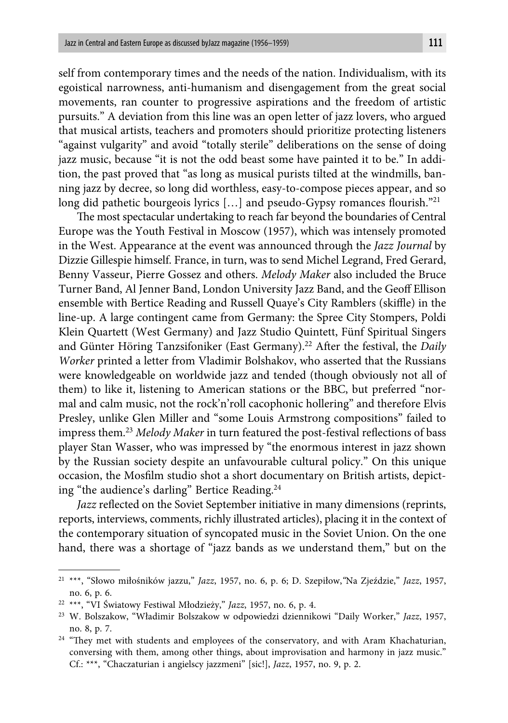self from contemporary times and the needs of the nation. Individualism, with its egoistical narrowness, anti-humanism and disengagement from the great social movements, ran counter to progressive aspirations and the freedom of artistic pursuits." A deviation from this line was an open letter of jazz lovers, who argued that musical artists, teachers and promoters should prioritize protecting listeners "against vulgarity" and avoid "totally sterile" deliberations on the sense of doing jazz music, because "it is not the odd beast some have painted it to be." In addition, the past proved that "as long as musical purists tilted at the windmills, banning jazz by decree, so long did worthless, easy-to-compose pieces appear, and so long did pathetic bourgeois lyrics [...] and pseudo-Gypsy romances flourish."<sup>21</sup>

The most spectacular undertaking to reach far beyond the boundaries of Central Europe was the Youth Festival in Moscow (1957), which was intensely promoted in the West. Appearance at the event was announced through the *Jazz Journal* by Dizzie Gillespie himself. France, in turn, was to send Michel Legrand, Fred Gerard, Benny Vasseur, Pierre Gossez and others. *Melody Maker* also included the Bruce Turner Band, Al Jenner Band, London University Jazz Band, and the Geoff Ellison ensemble with Bertice Reading and Russell Quaye's City Ramblers (skiffle) in the line-up. A large contingent came from Germany: the Spree City Stompers, Poldi Klein Quartett (West Germany) and Jazz Studio Quintett, Fünf Spiritual Singers and Günter Höring Tanzsifoniker (East Germany).<sup>22</sup> After the festival, the *Daily Worker* printed a letter from Vladimir Bolshakov, who asserted that the Russians were knowledgeable on worldwide jazz and tended (though obviously not all of them) to like it, listening to American stations or the BBC, but preferred "normal and calm music, not the rock'n'roll cacophonic hollering" and therefore Elvis Presley, unlike Glen Miller and "some Louis Armstrong compositions" failed to impress them.<sup>23</sup> Melody Maker in turn featured the post-festival reflections of bass player Stan Wasser, who was impressed by "the enormous interest in jazz shown by the Russian society despite an unfavourable cultural policy." On this unique occasion, the Mosfilm studio shot a short documentary on British artists, depicting "the audience's darling" Bertice Reading.24

*Jazz* reflected on the Soviet September initiative in many dimensions (reprints, reports, interviews, comments, richly illustrated articles), placing it in the context of the contemporary situation of syncopated music in the Soviet Union. On the one hand, there was a shortage of "jazz bands as we understand them," but on the

<sup>21 \*\*\*, &</sup>quot;Słowo miłośników jazzu," *Jazz*, 1957, no. 6, p. 6; D. Szepiłow,*"*Na Zjeździe," *Jazz*, 1957, no. 6, p. 6.

<sup>22 \*\*\*, &</sup>quot;VI Światowy Festiwal Młodzieży," *Jazz*, 1957, no. 6, p. 4.

<sup>23</sup> W. Bolszakow, "Władimir Bolszakow w odpowiedzi dziennikowi "Daily Worker," *Jazz*, 1957, no. 8, p. 7.

<sup>&</sup>lt;sup>24</sup> "They met with students and employees of the conservatory, and with Aram Khachaturian, conversing with them, among other things, about improvisation and harmony in jazz music." Cf.: \*\*\*, "Chaczaturian i angielscy jazzmeni" [sic!], *Jazz*, 1957, no. 9, p. 2.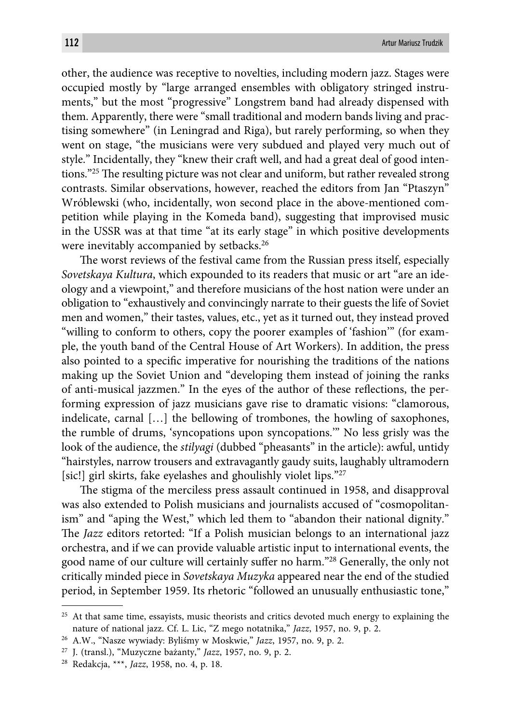other, the audience was receptive to novelties, including modern jazz. Stages were occupied mostly by "large arranged ensembles with obligatory stringed instruments," but the most "progressive" Longstrem band had already dispensed with them. Apparently, there were "small traditional and modern bands living and practising somewhere" (in Leningrad and Riga), but rarely performing, so when they went on stage, "the musicians were very subdued and played very much out of style." Incidentally, they "knew their craft well, and had a great deal of good intentions."<sup>25</sup> The resulting picture was not clear and uniform, but rather revealed strong contrasts. Similar observations, however, reached the editors from Jan "Ptaszyn" Wróblewski (who, incidentally, won second place in the above-mentioned competition while playing in the Komeda band), suggesting that improvised music in the USSR was at that time "at its early stage" in which positive developments were inevitably accompanied by setbacks.<sup>26</sup>

The worst reviews of the festival came from the Russian press itself, especially *Sovetskaya Kultura*, which expounded to its readers that music or art "are an ideology and a viewpoint," and therefore musicians of the host nation were under an obligation to "exhaustively and convincingly narrate to their guests the life of Soviet men and women," their tastes, values, etc., yet as it turned out, they instead proved "willing to conform to others, copy the poorer examples of 'fashion'" (for example, the youth band of the Central House of Art Workers). In addition, the press also pointed to a specific imperative for nourishing the traditions of the nations making up the Soviet Union and "developing them instead of joining the ranks of anti-musical jazzmen." In the eyes of the author of these reflections, the performing expression of jazz musicians gave rise to dramatic visions: "clamorous, indelicate, carnal […] the bellowing of trombones, the howling of saxophones, the rumble of drums, 'syncopations upon syncopations.'" No less grisly was the look of the audience, the *stilyagi* (dubbed "pheasants" in the article): awful, untidy "hairstyles, narrow trousers and extravagantly gaudy suits, laughably ultramodern [sic!] girl skirts, fake eyelashes and ghoulishly violet lips."27

The stigma of the merciless press assault continued in 1958, and disapproval was also extended to Polish musicians and journalists accused of "cosmopolitanism" and "aping the West," which led them to "abandon their national dignity." The *Jazz* editors retorted: "If a Polish musician belongs to an international jazz orchestra, and if we can provide valuable artistic input to international events, the good name of our culture will certainly suffer no harm."<sup>28</sup> Generally, the only not critically minded piece in *Sovetskaya Muzyka* appeared near the end of the studied period, in September 1959. Its rhetoric "followed an unusually enthusiastic tone,"

<sup>&</sup>lt;sup>25</sup> At that same time, essayists, music theorists and critics devoted much energy to explaining the nature of national jazz. Cf. L. Lic, "Z mego notatnika," *Jazz*, 1957, no. 9, p. 2.

<sup>26</sup> A.W., "Nasze wywiady: Byliśmy w Moskwie," *Jazz*, 1957, no. 9, p. 2.

<sup>27</sup> J. (transl.), "Muzyczne bażanty," *Jazz*, 1957, no. 9, p. 2.

<sup>28</sup> Redakcja, \*\*\*, *Jazz*, 1958, no. 4, p. 18.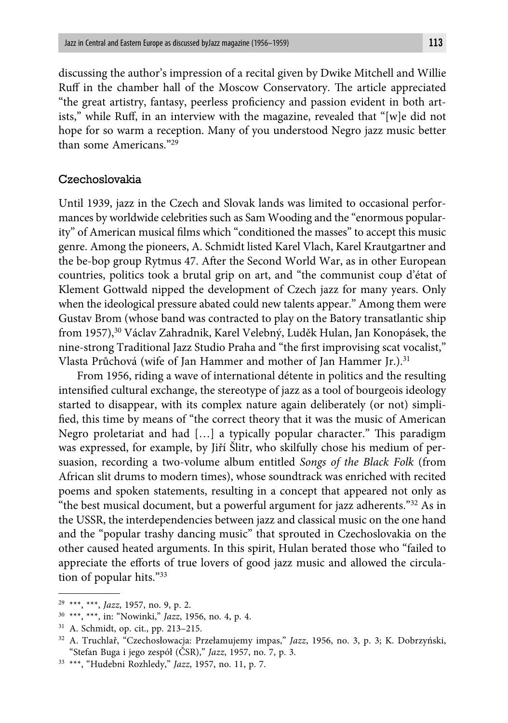discussing the author's impression of a recital given by Dwike Mitchell and Willie Ruff in the chamber hall of the Moscow Conservatory. The article appreciated "the great artistry, fantasy, peerless proficiency and passion evident in both artists," while Ruff, in an interview with the magazine, revealed that "[w]e did not hope for so warm a reception. Many of you understood Negro jazz music better than some Americans<sup>"29</sup>

#### Czechoslovakia

Until 1939, jazz in the Czech and Slovak lands was limited to occasional performances by worldwide celebrities such as Sam Wooding and the "enormous popularity" of American musical films which "conditioned the masses" to accept this music genre. Among the pioneers, A. Schmidt listed Karel Vlach, Karel Krautgartner and the be-bop group Rytmus 47. After the Second World War, as in other European countries, politics took a brutal grip on art, and "the communist coup d'état of Klement Gottwald nipped the development of Czech jazz for many years. Only when the ideological pressure abated could new talents appear." Among them were Gustav Brom (whose band was contracted to play on the Batory transatlantic ship from 1957),<sup>30</sup> Václav Zahradnik, Karel Velebný, Luděk Hulan, Jan Konopásek, the nine-strong Traditional Jazz Studio Praha and "the first improvising scat vocalist," Vlasta Průchová (wife of Jan Hammer and mother of Jan Hammer Jr.).<sup>31</sup>

From 1956, riding a wave of international détente in politics and the resulting intensified cultural exchange, the stereotype of jazz as a tool of bourgeois ideology started to disappear, with its complex nature again deliberately (or not) simplified, this time by means of "the correct theory that it was the music of American Negro proletariat and had [...] a typically popular character." This paradigm was expressed, for example, by Jiří Šlitr, who skilfully chose his medium of persuasion, recording a two-volume album entitled *Songs of the Black Folk* (from African slit drums to modern times), whose soundtrack was enriched with recited poems and spoken statements, resulting in a concept that appeared not only as "the best musical document, but a powerful argument for jazz adherents."32 As in the USSR, the interdependencies between jazz and classical music on the one hand and the "popular trashy dancing music" that sprouted in Czechoslovakia on the other caused heated arguments. In this spirit, Hulan berated those who "failed to appreciate the efforts of true lovers of good jazz music and allowed the circulation of popular hits."33

<sup>29 \*\*\*, \*\*\*,</sup> *Jazz*, 1957, no. 9, p. 2.

<sup>30 \*\*\*, \*\*\*,</sup> in: "Nowinki," *Jazz*, 1956, no. 4, p. 4.

<sup>31</sup> A. Schmidt, op. cit., pp. 213–215.

<sup>32</sup> A. Truchlař, "Czechosłowacja: Przełamujemy impas," *Jazz*, 1956, no. 3, p. 3; K. Dobrzyński, "Stefan Buga i jego zespół (ČSR)," *Jazz*, 1957, no. 7, p. 3.

<sup>33 \*\*\*, &</sup>quot;Hudebni Rozhledy," *Jazz*, 1957, no. 11, p. 7.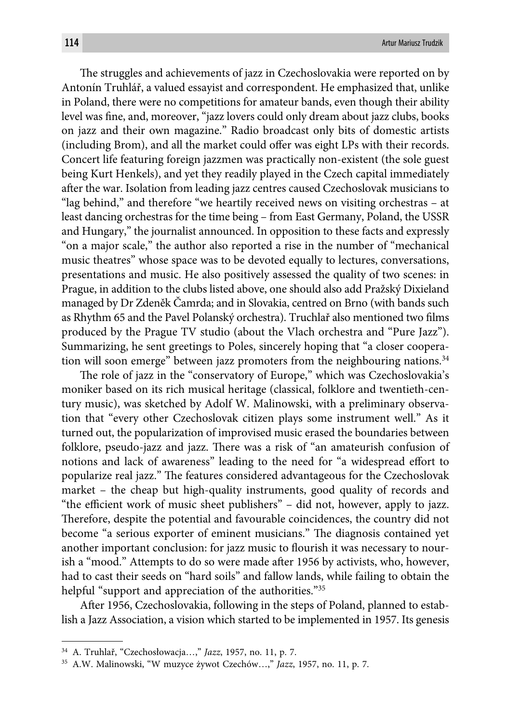The struggles and achievements of jazz in Czechoslovakia were reported on by Antonín Truhlář, a valued essayist and correspondent. He emphasized that, unlike in Poland, there were no competitions for amateur bands, even though their ability level was fine, and, moreover, "jazz lovers could only dream about jazz clubs, books on jazz and their own magazine." Radio broadcast only bits of domestic artists (including Brom), and all the market could offer was eight LPs with their records. Concert life featuring foreign jazzmen was practically non-existent (the sole guest being Kurt Henkels), and yet they readily played in the Czech capital immediately after the war. Isolation from leading jazz centres caused Czechoslovak musicians to "lag behind," and therefore "we heartily received news on visiting orchestras – at least dancing orchestras for the time being – from East Germany, Poland, the USSR and Hungary," the journalist announced. In opposition to these facts and expressly "on a major scale," the author also reported a rise in the number of "mechanical music theatres" whose space was to be devoted equally to lectures, conversations, presentations and music. He also positively assessed the quality of two scenes: in Prague, in addition to the clubs listed above, one should also add Pražský Dixieland managed by Dr Zdeněk Čamrda; and in Slovakia, centred on Brno (with bands such as Rhythm 65 and the Pavel Polanský orchestra). Truchlař also mentioned two films produced by the Prague TV studio (about the Vlach orchestra and "Pure Jazz"). Summarizing, he sent greetings to Poles, sincerely hoping that "a closer cooperation will soon emerge" between jazz promoters from the neighbouring nations.<sup>34</sup>

The role of jazz in the "conservatory of Europe," which was Czechoslovakia's moniker based on its rich musical heritage (classical, folklore and twentieth-century music), was sketched by Adolf W. Malinowski, with a preliminary observation that "every other Czechoslovak citizen plays some instrument well." As it turned out, the popularization of improvised music erased the boundaries between folklore, pseudo-jazz and jazz. There was a risk of "an amateurish confusion of notions and lack of awareness" leading to the need for "a widespread effort to popularize real jazz." The features considered advantageous for the Czechoslovak market – the cheap but high-quality instruments, good quality of records and "the efficient work of music sheet publishers" – did not, however, apply to jazz. Therefore, despite the potential and favourable coincidences, the country did not become "a serious exporter of eminent musicians." The diagnosis contained yet another important conclusion: for jazz music to flourish it was necessary to nourish a "mood." Attempts to do so were made after 1956 by activists, who, however, had to cast their seeds on "hard soils" and fallow lands, while failing to obtain the helpful "support and appreciation of the authorities."<sup>35</sup>

After 1956, Czechoslovakia, following in the steps of Poland, planned to establish a Jazz Association, a vision which started to be implemented in 1957. Its genesis

<sup>34</sup> A. Truhlař, "Czechosłowacja…," *Jazz*, 1957, no. 11, p. 7.

<sup>35</sup> A.W. Malinowski, "W muzyce żywot Czechów…," *Jazz*, 1957, no. 11, p. 7.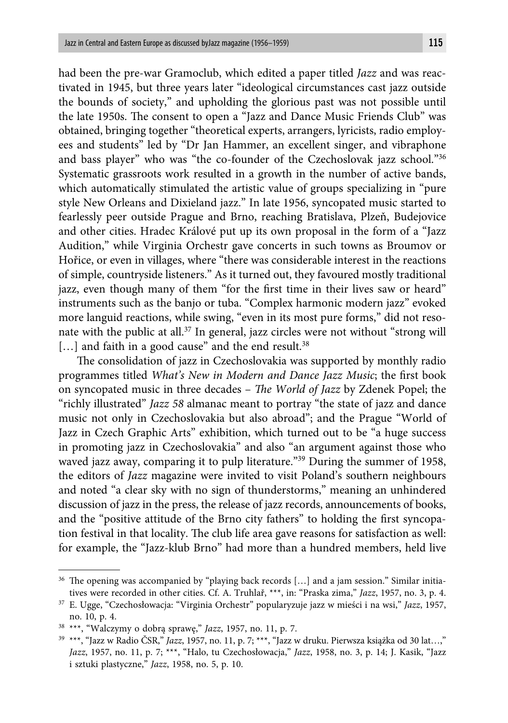had been the pre-war Gramoclub, which edited a paper titled *Jazz* and was reactivated in 1945, but three years later "ideological circumstances cast jazz outside the bounds of society," and upholding the glorious past was not possible until the late 1950s. The consent to open a "Jazz and Dance Music Friends Club" was obtained, bringing together "theoretical experts, arrangers, lyricists, radio employees and students" led by "Dr Jan Hammer, an excellent singer, and vibraphone and bass player" who was "the co-founder of the Czechoslovak jazz school."36 Systematic grassroots work resulted in a growth in the number of active bands, which automatically stimulated the artistic value of groups specializing in "pure style New Orleans and Dixieland jazz." In late 1956, syncopated music started to fearlessly peer outside Prague and Brno, reaching Bratislava, Plzeň, Budejovice and other cities. Hradec Králové put up its own proposal in the form of a "Jazz Audition," while Virginia Orchestr gave concerts in such towns as Broumov or Hořice, or even in villages, where "there was considerable interest in the reactions of simple, countryside listeners." As it turned out, they favoured mostly traditional jazz, even though many of them "for the first time in their lives saw or heard" instruments such as the banjo or tuba. "Complex harmonic modern jazz" evoked more languid reactions, while swing, "even in its most pure forms," did not resonate with the public at all.37 In general, jazz circles were not without "strong will  $[...]$  and faith in a good cause" and the end result.<sup>38</sup>

The consolidation of jazz in Czechoslovakia was supported by monthly radio programmes titled *What's New in Modern and Dance Jazz Music*; the first book on syncopated music in three decades – *The World of Jazz* by Zdenek Popel; the "richly illustrated" *Jazz 58* almanac meant to portray "the state of jazz and dance music not only in Czechoslovakia but also abroad"; and the Prague "World of Jazz in Czech Graphic Arts" exhibition, which turned out to be "a huge success in promoting jazz in Czechoslovakia" and also "an argument against those who waved jazz away, comparing it to pulp literature."39 During the summer of 1958, the editors of *Jazz* magazine were invited to visit Poland's southern neighbours and noted "a clear sky with no sign of thunderstorms," meaning an unhindered discussion of jazz in the press, the release of jazz records, announcements of books, and the "positive attitude of the Brno city fathers" to holding the first syncopation festival in that locality. The club life area gave reasons for satisfaction as well: for example, the "Jazz-klub Brno" had more than a hundred members, held live

<sup>&</sup>lt;sup>36</sup> The opening was accompanied by "playing back records [...] and a jam session." Similar initiatives were recorded in other cities. Cf. A. Truhlař, \*\*\*, in: "Praska zima," *Jazz*, 1957, no. 3, p. 4.

<sup>37</sup> E. Ugge, "Czechosłowacja: "Virginia Orchestr" popularyzuje jazz w mieści i na wsi," *Jazz*, 1957, no. 10, p. 4.

<sup>38 \*\*\*, &</sup>quot;Walczymy o dobrą sprawę," *Jazz*, 1957, no. 11, p. 7.

<sup>39 \*\*\*, &</sup>quot;Jazz w Radio ČSR," *Jazz*, 1957, no. 11, p. 7; \*\*\*, "Jazz w druku. Pierwsza książka od 30 lat…," *Jazz*, 1957, no. 11, p. 7; \*\*\*, "Halo, tu Czechosłowacja," *Jazz*, 1958, no. 3, p. 14; J. Kasik, "Jazz i sztuki plastyczne," *Jazz*, 1958, no. 5, p. 10.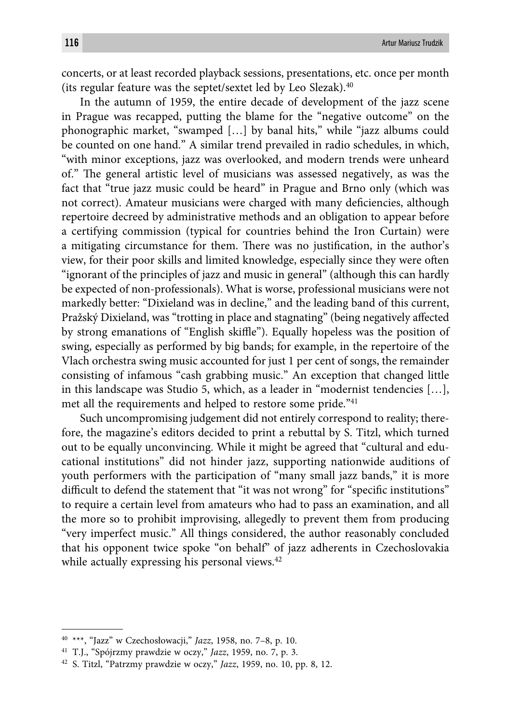concerts, or at least recorded playback sessions, presentations, etc. once per month (its regular feature was the septet/sextet led by Leo Slezak).40

In the autumn of 1959, the entire decade of development of the jazz scene in Prague was recapped, putting the blame for the "negative outcome" on the phonographic market, "swamped […] by banal hits," while "jazz albums could be counted on one hand." A similar trend prevailed in radio schedules, in which, "with minor exceptions, jazz was overlooked, and modern trends were unheard of." The general artistic level of musicians was assessed negatively, as was the fact that "true jazz music could be heard" in Prague and Brno only (which was not correct). Amateur musicians were charged with many deficiencies, although repertoire decreed by administrative methods and an obligation to appear before a certifying commission (typical for countries behind the Iron Curtain) were a mitigating circumstance for them. There was no justification, in the author's view, for their poor skills and limited knowledge, especially since they were often "ignorant of the principles of jazz and music in general" (although this can hardly be expected of non-professionals). What is worse, professional musicians were not markedly better: "Dixieland was in decline," and the leading band of this current, Pražský Dixieland, was "trotting in place and stagnating" (being negatively affected by strong emanations of "English skiffle"). Equally hopeless was the position of swing, especially as performed by big bands; for example, in the repertoire of the Vlach orchestra swing music accounted for just 1 per cent of songs, the remainder consisting of infamous "cash grabbing music." An exception that changed little in this landscape was Studio 5, which, as a leader in "modernist tendencies […], met all the requirements and helped to restore some pride."<sup>41</sup>

Such uncompromising judgement did not entirely correspond to reality; therefore, the magazine's editors decided to print a rebuttal by S. Titzl, which turned out to be equally unconvincing. While it might be agreed that "cultural and educational institutions" did not hinder jazz, supporting nationwide auditions of youth performers with the participation of "many small jazz bands," it is more difficult to defend the statement that "it was not wrong" for "specific institutions" to require a certain level from amateurs who had to pass an examination, and all the more so to prohibit improvising, allegedly to prevent them from producing "very imperfect music." All things considered, the author reasonably concluded that his opponent twice spoke "on behalf" of jazz adherents in Czechoslovakia while actually expressing his personal views.<sup>42</sup>

<sup>40 \*\*\*, &</sup>quot;Jazz" w Czechosłowacji," *Jazz*, 1958, no. 7–8, p. 10.

<sup>41</sup> T.J., "Spójrzmy prawdzie w oczy," *Jazz*, 1959, no. 7, p. 3.

<sup>42</sup> S. Titzl, "Patrzmy prawdzie w oczy," *Jazz*, 1959, no. 10, pp. 8, 12.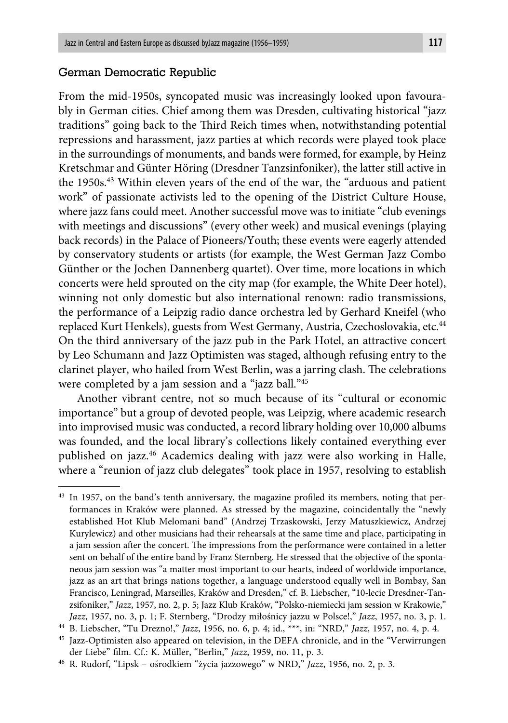#### German Democratic Republic

From the mid-1950s, syncopated music was increasingly looked upon favourably in German cities. Chief among them was Dresden, cultivating historical "jazz traditions" going back to the Third Reich times when, notwithstanding potential repressions and harassment, jazz parties at which records were played took place in the surroundings of monuments, and bands were formed, for example, by Heinz Kretschmar and Günter Höring (Dresdner Tanzsinfoniker), the latter still active in the 1950s.43 Within eleven years of the end of the war, the "arduous and patient work" of passionate activists led to the opening of the District Culture House, where jazz fans could meet. Another successful move was to initiate "club evenings with meetings and discussions" (every other week) and musical evenings (playing back records) in the Palace of Pioneers/Youth; these events were eagerly attended by conservatory students or artists (for example, the West German Jazz Combo Günther or the Jochen Dannenberg quartet). Over time, more locations in which concerts were held sprouted on the city map (for example, the White Deer hotel), winning not only domestic but also international renown: radio transmissions, the performance of a Leipzig radio dance orchestra led by Gerhard Kneifel (who replaced Kurt Henkels), guests from West Germany, Austria, Czechoslovakia, etc.44 On the third anniversary of the jazz pub in the Park Hotel, an attractive concert by Leo Schumann and Jazz Optimisten was staged, although refusing entry to the clarinet player, who hailed from West Berlin, was a jarring clash. The celebrations were completed by a jam session and a "jazz ball."45

Another vibrant centre, not so much because of its "cultural or economic importance" but a group of devoted people, was Leipzig, where academic research into improvised music was conducted, a record library holding over 10,000 albums was founded, and the local library's collections likely contained everything ever published on jazz.46 Academics dealing with jazz were also working in Halle, where a "reunion of jazz club delegates" took place in 1957, resolving to establish

 $43$  In 1957, on the band's tenth anniversary, the magazine profiled its members, noting that performances in Kraków were planned. As stressed by the magazine, coincidentally the "newly established Hot Klub Melomani band" (Andrzej Trzaskowski, Jerzy Matuszkiewicz, Andrzej Kurylewicz) and other musicians had their rehearsals at the same time and place, participating in a jam session after the concert. The impressions from the performance were contained in a letter sent on behalf of the entire band by Franz Sternberg. He stressed that the objective of the spontaneous jam session was "a matter most important to our hearts, indeed of worldwide importance, jazz as an art that brings nations together, a language understood equally well in Bombay, San Francisco, Leningrad, Marseilles, Kraków and Dresden," cf. B. Liebscher, "10-lecie Dresdner-Tanzsifoniker," *Jazz*, 1957, no. 2, p. 5; Jazz Klub Kraków, "Polsko-niemiecki jam session w Krakowie," *Jazz*, 1957, no. 3, p. 1; F. Sternberg, "Drodzy miłośnicy jazzu w Polsce!," *Jazz*, 1957, no. 3, p. 1.

<sup>44</sup> B. Liebscher, "Tu Drezno!," *Jazz*, 1956, no. 6, p. 4; id., \*\*\*, in: "NRD," *Jazz*, 1957, no. 4, p. 4.

<sup>&</sup>lt;sup>45</sup> Jazz-Optimisten also appeared on television, in the DEFA chronicle, and in the "Verwirrungen der Liebe" film. Cf.: K. Müller, "Berlin," *Jazz*, 1959, no. 11, p. 3.

<sup>46</sup> R. Rudorf, "Lipsk – ośrodkiem "życia jazzowego" w NRD," *Jazz*, 1956, no. 2, p. 3.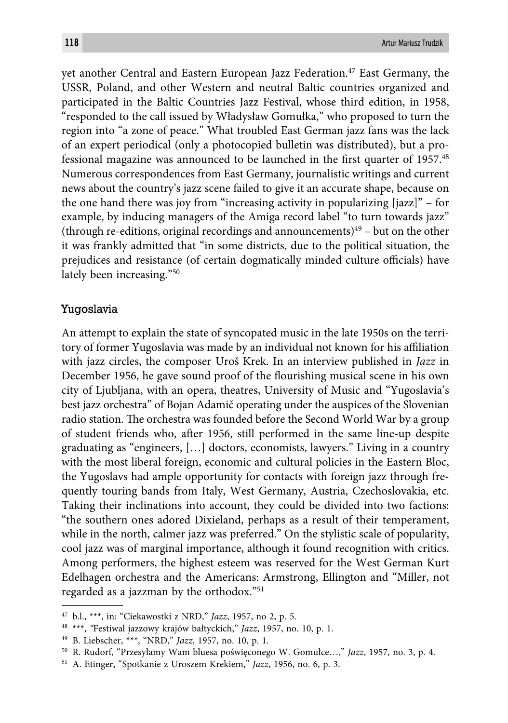yet another Central and Eastern European Jazz Federation.<sup>47</sup> East Germany, the USSR, Poland, and other Western and neutral Baltic countries organized and participated in the Baltic Countries Jazz Festival, whose third edition, in 1958, "responded to the call issued by Władysław Gomułka," who proposed to turn the region into "a zone of peace." What troubled East German jazz fans was the lack of an expert periodical (only a photocopied bulletin was distributed), but a professional magazine was announced to be launched in the first quarter of  $1957<sup>48</sup>$ Numerous correspondences from East Germany, journalistic writings and current news about the country's jazz scene failed to give it an accurate shape, because on the one hand there was joy from "increasing activity in popularizing [jazz]" – for example, by inducing managers of the Amiga record label "to turn towards jazz" (through re-editions, original recordings and announcements)<sup>49</sup> – but on the other it was frankly admitted that "in some districts, due to the political situation, the prejudices and resistance (of certain dogmatically minded culture officials) have lately been increasing."50

#### Yugoslavia

An attempt to explain the state of syncopated music in the late 1950s on the territory of former Yugoslavia was made by an individual not known for his affiliation with jazz circles, the composer Uroš Krek. In an interview published in *Jazz* in December 1956, he gave sound proof of the flourishing musical scene in his own city of Ljubljana, with an opera, theatres, University of Music and "Yugoslavia's best jazz orchestra" of Bojan Adamič operating under the auspices of the Slovenian radio station. The orchestra was founded before the Second World War by a group of student friends who, after 1956, still performed in the same line-up despite graduating as "engineers, […] doctors, economists, lawyers." Living in a country with the most liberal foreign, economic and cultural policies in the Eastern Bloc, the Yugoslavs had ample opportunity for contacts with foreign jazz through frequently touring bands from Italy, West Germany, Austria, Czechoslovakia, etc. Taking their inclinations into account, they could be divided into two factions: "the southern ones adored Dixieland, perhaps as a result of their temperament, while in the north, calmer jazz was preferred." On the stylistic scale of popularity, cool jazz was of marginal importance, although it found recognition with critics. Among performers, the highest esteem was reserved for the West German Kurt Edelhagen orchestra and the Americans: Armstrong, Ellington and "Miller, not regarded as a jazzman by the orthodox."51

<sup>47</sup> b.l., \*\*\*, in: "Ciekawostki z NRD," *Jazz*, 1957, no 2, p. 5.

<sup>48 \*\*\*,</sup> *"*Festiwal jazzowy krajów bałtyckich," *Jazz*, 1957, no. 10, p. 1.

<sup>49</sup> B. Liebscher, \*\*\*, "NRD," *Jazz*, 1957, no. 10, p. 1.

<sup>50</sup> R. Rudorf, "Przesyłamy Wam bluesa poświęconego W. Gomułce…," *Jazz*, 1957, no. 3, p. 4.

<sup>51</sup> A. Etinger, "Spotkanie z Uroszem Krekiem," *Jazz*, 1956, no. 6, p. 3.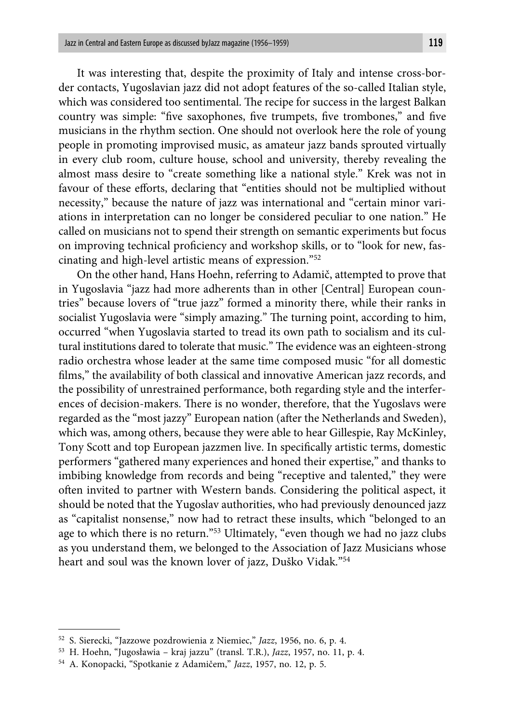It was interesting that, despite the proximity of Italy and intense cross-border contacts, Yugoslavian jazz did not adopt features of the so-called Italian style, which was considered too sentimental. The recipe for success in the largest Balkan country was simple: "five saxophones, five trumpets, five trombones," and five musicians in the rhythm section. One should not overlook here the role of young people in promoting improvised music, as amateur jazz bands sprouted virtually in every club room, culture house, school and university, thereby revealing the almost mass desire to "create something like a national style." Krek was not in favour of these efforts, declaring that "entities should not be multiplied without necessity," because the nature of jazz was international and "certain minor variations in interpretation can no longer be considered peculiar to one nation." He called on musicians not to spend their strength on semantic experiments but focus on improving technical proficiency and workshop skills, or to "look for new, fascinating and high-level artistic means of expression."52

On the other hand, Hans Hoehn, referring to Adamič, attempted to prove that in Yugoslavia "jazz had more adherents than in other [Central] European countries" because lovers of "true jazz" formed a minority there, while their ranks in socialist Yugoslavia were "simply amazing." The turning point, according to him, occurred "when Yugoslavia started to tread its own path to socialism and its cultural institutions dared to tolerate that music." The evidence was an eighteen-strong radio orchestra whose leader at the same time composed music "for all domestic films," the availability of both classical and innovative American jazz records, and the possibility of unrestrained performance, both regarding style and the interferences of decision-makers. There is no wonder, therefore, that the Yugoslavs were regarded as the "most jazzy" European nation (after the Netherlands and Sweden), which was, among others, because they were able to hear Gillespie, Ray McKinley, Tony Scott and top European jazzmen live. In specifically artistic terms, domestic performers "gathered many experiences and honed their expertise," and thanks to imbibing knowledge from records and being "receptive and talented," they were often invited to partner with Western bands. Considering the political aspect, it should be noted that the Yugoslav authorities, who had previously denounced jazz as "capitalist nonsense," now had to retract these insults, which "belonged to an age to which there is no return."53 Ultimately, "even though we had no jazz clubs as you understand them, we belonged to the Association of Jazz Musicians whose heart and soul was the known lover of jazz, Duško Vidak."<sup>54</sup>

<sup>52</sup> S. Sierecki, "Jazzowe pozdrowienia z Niemiec," *Jazz*, 1956, no. 6, p. 4.

<sup>53</sup> H. Hoehn, "Jugosławia – kraj jazzu" (transl. T.R.), *Jazz*, 1957, no. 11, p. 4.

<sup>54</sup> A. Konopacki, "Spotkanie z Adamičem," *Jazz*, 1957, no. 12, p. 5.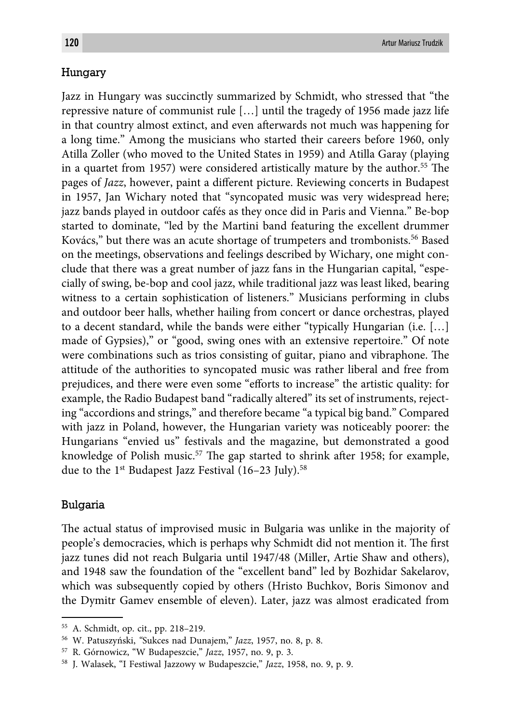#### Hungary

Jazz in Hungary was succinctly summarized by Schmidt, who stressed that "the repressive nature of communist rule […] until the tragedy of 1956 made jazz life in that country almost extinct, and even afterwards not much was happening for a long time." Among the musicians who started their careers before 1960, only Atilla Zoller (who moved to the United States in 1959) and Atilla Garay (playing in a quartet from 1957) were considered artistically mature by the author.<sup>55</sup> The pages of *Jazz*, however, paint a different picture. Reviewing concerts in Budapest in 1957, Jan Wichary noted that "syncopated music was very widespread here; jazz bands played in outdoor cafés as they once did in Paris and Vienna." Be-bop started to dominate, "led by the Martini band featuring the excellent drummer Kovács," but there was an acute shortage of trumpeters and trombonists.56 Based on the meetings, observations and feelings described by Wichary, one might conclude that there was a great number of jazz fans in the Hungarian capital, "especially of swing, be-bop and cool jazz, while traditional jazz was least liked, bearing witness to a certain sophistication of listeners." Musicians performing in clubs and outdoor beer halls, whether hailing from concert or dance orchestras, played to a decent standard, while the bands were either "typically Hungarian (i.e. […] made of Gypsies)," or "good, swing ones with an extensive repertoire." Of note were combinations such as trios consisting of guitar, piano and vibraphone. The attitude of the authorities to syncopated music was rather liberal and free from prejudices, and there were even some "efforts to increase" the artistic quality: for example, the Radio Budapest band "radically altered" its set of instruments, rejecting "accordions and strings," and therefore became "a typical big band." Compared with jazz in Poland, however, the Hungarian variety was noticeably poorer: the Hungarians "envied us" festivals and the magazine, but demonstrated a good knowledge of Polish music.<sup>57</sup> The gap started to shrink after 1958; for example, due to the 1<sup>st</sup> Budapest Jazz Festival (16–23 July).<sup>58</sup>

#### Bulgaria

The actual status of improvised music in Bulgaria was unlike in the majority of people's democracies, which is perhaps why Schmidt did not mention it. The first jazz tunes did not reach Bulgaria until 1947/48 (Miller, Artie Shaw and others), and 1948 saw the foundation of the "excellent band" led by Bozhidar Sakelarov, which was subsequently copied by others (Hristo Buchkov, Boris Simonov and the Dymitr Gamev ensemble of eleven). Later, jazz was almost eradicated from

<sup>55</sup> A. Schmidt, op. cit., pp. 218–219.

<sup>56</sup> W. Patuszyński, *"*Sukces nad Dunajem," *Jazz*, 1957, no. 8, p. 8.

<sup>57</sup> R. Górnowicz, "W Budapeszcie," *Jazz*, 1957, no. 9, p. 3.

<sup>58</sup> J. Walasek, "I Festiwal Jazzowy w Budapeszcie," *Jazz*, 1958, no. 9, p. 9.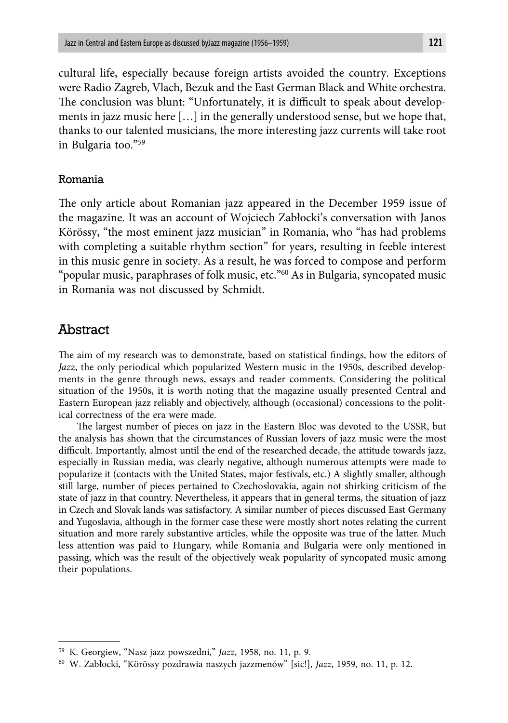cultural life, especially because foreign artists avoided the country. Exceptions were Radio Zagreb, Vlach, Bezuk and the East German Black and White orchestra. The conclusion was blunt: "Unfortunately, it is difficult to speak about developments in jazz music here […] in the generally understood sense, but we hope that, thanks to our talented musicians, the more interesting jazz currents will take root in Bulgaria too."59

#### Romania

The only article about Romanian jazz appeared in the December 1959 issue of the magazine. It was an account of Wojciech Zabłocki's conversation with Janos Körössy, "the most eminent jazz musician" in Romania, who "has had problems with completing a suitable rhythm section" for years, resulting in feeble interest in this music genre in society. As a result, he was forced to compose and perform "popular music, paraphrases of folk music, etc."60 As in Bulgaria, syncopated music in Romania was not discussed by Schmidt.

# Abstract

The aim of my research was to demonstrate, based on statistical findings, how the editors of *Jazz*, the only periodical which popularized Western music in the 1950s, described developments in the genre through news, essays and reader comments. Considering the political situation of the 1950s, it is worth noting that the magazine usually presented Central and Eastern European jazz reliably and objectively, although (occasional) concessions to the political correctness of the era were made.

The largest number of pieces on jazz in the Eastern Bloc was devoted to the USSR, but the analysis has shown that the circumstances of Russian lovers of jazz music were the most difficult. Importantly, almost until the end of the researched decade, the attitude towards jazz, especially in Russian media, was clearly negative, although numerous attempts were made to popularize it (contacts with the United States, major festivals, etc.) A slightly smaller, although still large, number of pieces pertained to Czechoslovakia, again not shirking criticism of the state of jazz in that country. Nevertheless, it appears that in general terms, the situation of jazz in Czech and Slovak lands was satisfactory. A similar number of pieces discussed East Germany and Yugoslavia, although in the former case these were mostly short notes relating the current situation and more rarely substantive articles, while the opposite was true of the latter. Much less attention was paid to Hungary, while Romania and Bulgaria were only mentioned in passing, which was the result of the objectively weak popularity of syncopated music among their populations.

<sup>59</sup> K. Georgiew, "Nasz jazz powszedni," *Jazz*, 1958, no. 11, p. 9.

<sup>60</sup> W. Zabłocki, "Körössy pozdrawia naszych jazzmenów" [sic!], *Jazz*, 1959, no. 11, p. 12.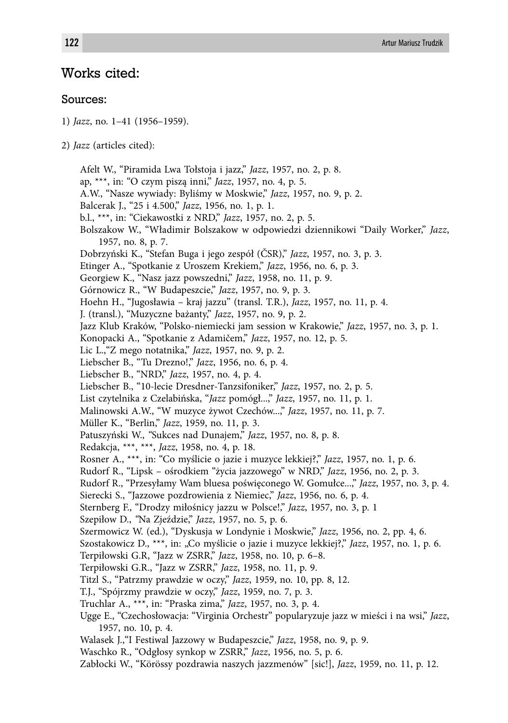# Works cited:

#### Sources:

1) *Jazz*, no. 1–41 (1956–1959).

Afelt W., "Piramida Lwa Tołstoja i jazz," *Jazz*, 1957, no. 2, p. 8. ap, \*\*\*, in: "O czym piszą inni," *Jazz*, 1957, no. 4, p. 5. A.W., "Nasze wywiady: Byliśmy w Moskwie," *Jazz*, 1957, no. 9, p. 2. Balcerak J., "25 i 4.500," *Jazz*, 1956, no. 1, p. 1. b.l., \*\*\*, in: "Ciekawostki z NRD," *Jazz*, 1957, no. 2, p. 5. Bolszakow W., "Władimir Bolszakow w odpowiedzi dziennikowi "Daily Worker," *Jazz*, 1957, no. 8, p. 7. Dobrzyński K., "Stefan Buga i jego zespół (ČSR)," *Jazz*, 1957, no. 3, p. 3. Etinger A., "Spotkanie z Uroszem Krekiem," *Jazz*, 1956, no. 6, p. 3. Georgiew K., "Nasz jazz powszedni," *Jazz*, 1958, no. 11, p. 9. Górnowicz R., "W Budapeszcie," *Jazz*, 1957, no. 9, p. 3. Hoehn H., "Jugosławia – kraj jazzu" (transl. T.R.), *Jazz*, 1957, no. 11, p. 4. J. (transl.), "Muzyczne bażanty," *Jazz*, 1957, no. 9, p. 2. Jazz Klub Kraków, "Polsko-niemiecki jam session w Krakowie," *Jazz*, 1957, no. 3, p. 1. Konopacki A., "Spotkanie z Adamičem," *Jazz*, 1957, no. 12, p. 5. Lic L.,"Z mego notatnika," *Jazz*, 1957, no. 9, p. 2. Liebscher B., "Tu Drezno!," *Jazz*, 1956, no. 6, p. 4. Liebscher B., "NRD," *Jazz*, 1957, no. 4, p. 4. Liebscher B., "10-lecie Dresdner-Tanzsifoniker," *Jazz*, 1957, no. 2, p. 5. List czytelnika z Czelabińska, "*Jazz* pomógł...," *Jazz*, 1957, no. 11, p. 1. Malinowski A.W., "W muzyce żywot Czechów...," *Jazz*, 1957, no. 11, p. 7. Müller K., "Berlin," *Jazz*, 1959, no. 11, p. 3. Patuszyński W., *"*Sukces nad Dunajem," *Jazz*, 1957, no. 8, p. 8. Redakcja, \*\*\*, \*\*\*, *Jazz*, 1958, no. 4, p. 18. Rosner A., \*\*\*, in: "Co myślicie o jazie i muzyce lekkiej?," *Jazz*, 1957, no. 1, p. 6. Rudorf R., "Lipsk – ośrodkiem "życia jazzowego" w NRD," *Jazz*, 1956, no. 2, p. 3. Rudorf R., "Przesyłamy Wam bluesa poświęconego W. Gomułce...," *Jazz*, 1957, no. 3, p. 4. Sierecki S., "Jazzowe pozdrowienia z Niemiec," *Jazz*, 1956, no. 6, p. 4. Sternberg F., "Drodzy miłośnicy jazzu w Polsce!," *Jazz*, 1957, no. 3, p. 1 Szepiłow D., *"*Na Zjeździe," *Jazz*, 1957, no. 5, p. 6. Szermowicz W. (ed.), "Dyskusja w Londynie i Moskwie," *Jazz*, 1956, no. 2, pp. 4, 6. Szostakowicz D., \*\*\*, in: "Co myślicie o jazie i muzyce lekkiej?," *Jazz*, 1957, no. 1, p. 6. Terpiłowski G.R, "Jazz w ZSRR," *Jazz*, 1958, no. 10, p. 6–8. Terpiłowski G.R., "Jazz w ZSRR," *Jazz*, 1958, no. 11, p. 9. Titzl S., "Patrzmy prawdzie w oczy," *Jazz*, 1959, no. 10, pp. 8, 12. T.J., "Spójrzmy prawdzie w oczy," *Jazz*, 1959, no. 7, p. 3. Truchlar A., \*\*\*, in: "Praska zima," *Jazz*, 1957, no. 3, p. 4. Ugge E., "Czechosłowacja: "Virginia Orchestr" popularyzuje jazz w mieści i na wsi," *Jazz*, 1957, no. 10, p. 4. Walasek J.,"I Festiwal Jazzowy w Budapeszcie," *Jazz*, 1958, no. 9, p. 9. Waschko R., "Odgłosy synkop w ZSRR," *Jazz*, 1956, no. 5, p. 6.

Zabłocki W., "Körössy pozdrawia naszych jazzmenów" [sic!], *Jazz*, 1959, no. 11, p. 12.

<sup>2)</sup> *Jazz* (articles cited):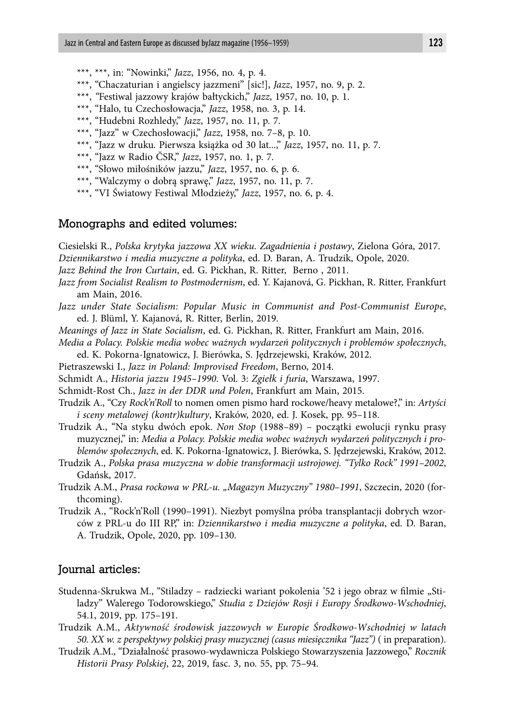- \*\*\*, \*\*\*, in: "Nowinki," *Jazz*, 1956, no. 4, p. 4.
- \*\*\*, "Chaczaturian i angielscy jazzmeni" [sic!], *Jazz*, 1957, no. 9, p. 2.
- \*\*\*, *"*Festiwal jazzowy krajów bałtyckich," *Jazz*, 1957, no. 10, p. 1.
- \*\*\*, "Halo, tu Czechosłowacja," *Jazz*, 1958, no. 3, p. 14.
- \*\*\*, "Hudebni Rozhledy," *Jazz*, 1957, no. 11, p. 7.
- \*\*\*, "Jazz" w Czechosłowacji," *Jazz*, 1958, no. 7–8, p. 10.
- \*\*\*, "Jazz w druku. Pierwsza książka od 30 lat...," *Jazz*, 1957, no. 11, p. 7.
- \*\*\*, "Jazz w Radio ČSR," *Jazz*, 1957, no. 1, p. 7.
- \*\*\*, "Słowo miłośników jazzu," *Jazz*, 1957, no. 6, p. 6.
- \*\*\*, "Walczymy o dobrą sprawę," *Jazz*, 1957, no. 11, p. 7.
- \*\*\*, "VI Światowy Festiwal Młodzieży," *Jazz*, 1957, no. 6, p. 4.

#### Monographs and edited volumes:

Ciesielski R., *Polska krytyka jazzowa XX wieku. Zagadnienia i postawy*, Zielona Góra, 2017.

- *Dziennikarstwo i media muzyczne a polityka*, ed. D. Baran, A. Trudzik, Opole, 2020.
- *Jazz Behind the Iron Curtain*, ed. G. Pickhan, R. Ritter, Berno , 2011.
- *Jazz from Socialist Realism to Postmodernism*, ed. Y. Kajanová, G. Pickhan, R. Ritter, Frankfurt am Main, 2016.
- *Jazz under State Socialism: Popular Music in Communist and Post-Communist Europe*, ed. J. Blüml, Y. Kajanová, R. Ritter, Berlin, 2019.
- *Meanings of Jazz in State Socialism*, ed. G. Pickhan, R. Ritter, Frankfurt am Main, 2016.
- *Media a Polacy. Polskie media wobec ważnych wydarzeń politycznych i problemów społecznych*, ed. K. Pokorna-Ignatowicz, J. Bierówka, S. Jędrzejewski, Kraków, 2012.
- Pietraszewski I., *Jazz in Poland: Improvised Freedom*, Berno, 2014.
- Schmidt A., *Historia jazzu 1945–1990*. Vol. 3: *Zgiełk i furia*, Warszawa, 1997.
- Schmidt-Rost Ch., *Jazz in der DDR und Polen*, Frankfurt am Main, 2015.
- Trudzik A., "Czy *Rock'n'Roll* to nomen omen pismo hard rockowe/heavy metalowe?," in: *Artyści i sceny metalowej (kontr)kultury*, Kraków, 2020, ed. J. Kosek, pp. 95–118.
- Trudzik A., "Na styku dwóch epok. *Non Stop* (1988–89) początki ewolucji rynku prasy muzycznej," in: *Media a Polacy. Polskie media wobec ważnych wydarzeń politycznych i problemów społecznych*, ed. K. Pokorna-Ignatowicz, J. Bierówka, S. Jędrzejewski, Kraków, 2012.
- Trudzik A., *Polska prasa muzyczna w dobie transformacji ustrojowej. "Tylko Rock" 1991–2002*, Gdańsk, 2017.
- Trudzik A.M., *Prasa rockowa w PRL-u. "Magazyn Muzyczny" 1980–1991*, Szczecin, 2020 (forthcoming).
- Trudzik A., "Rock'n'Roll (1990–1991). Niezbyt pomyślna próba transplantacji dobrych wzorców z PRL-u do III RP," in: *Dziennikarstwo i media muzyczne a polityka*, ed. D. Baran, A. Trudzik, Opole, 2020, pp. 109–130.

#### Journal articles:

- Studenna-Skrukwa M., "Stiladzy radziecki wariant pokolenia '52 i jego obraz w filmie "Stiladzy" Walerego Todorowskiego," *Studia z Dziejów Rosji i Europy Środkowo-Wschodniej*, 54.1, 2019, pp. 175–191.
- Trudzik A.M., *Aktywność środowisk jazzowych w Europie Środkowo-Wschodniej w latach 50. XX w. z perspektywy polskiej prasy muzycznej (casus miesięcznika "Jazz")* ( in preparation).
- Trudzik A.M., "Działalność prasowo-wydawnicza Polskiego Stowarzyszenia Jazzowego," *Rocznik Historii Prasy Polskiej*, 22, 2019, fasc. 3, no. 55, pp. 75–94.